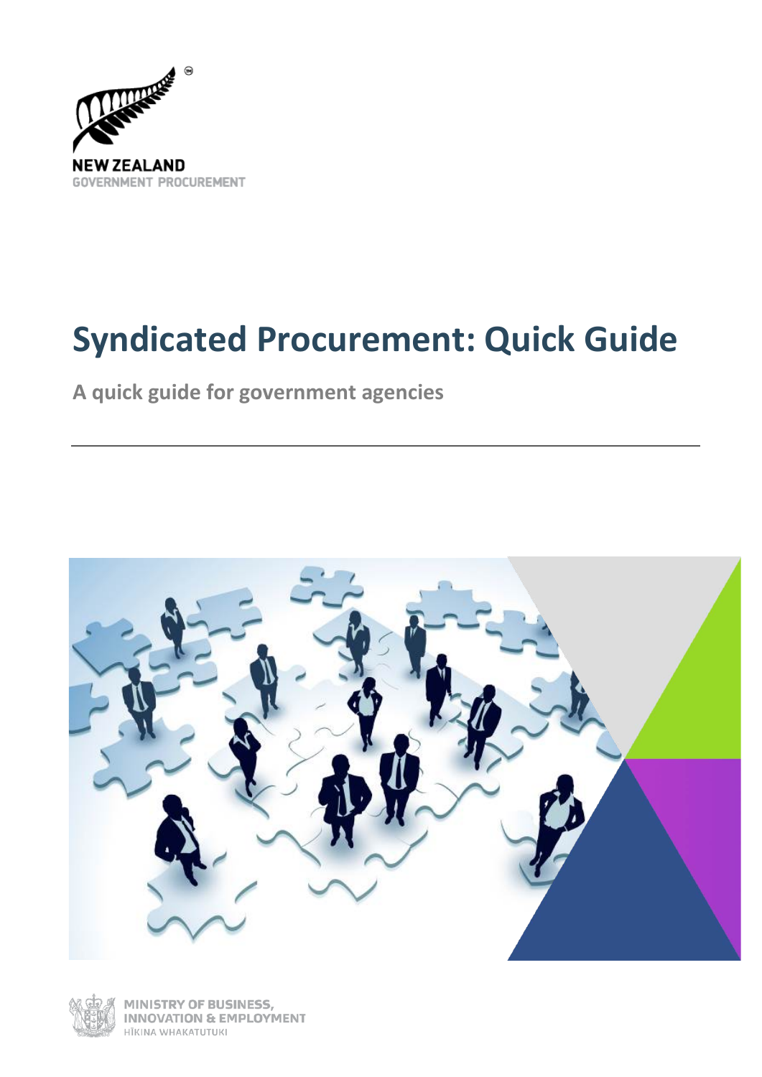

# **Syndicated Procurement: Quick Guide**

**A quick guide for government agencies**





**NISTRY OF BUSINESS, INNOVATION & EMPLOYMENT** HĪKINA WHAKATUTUKI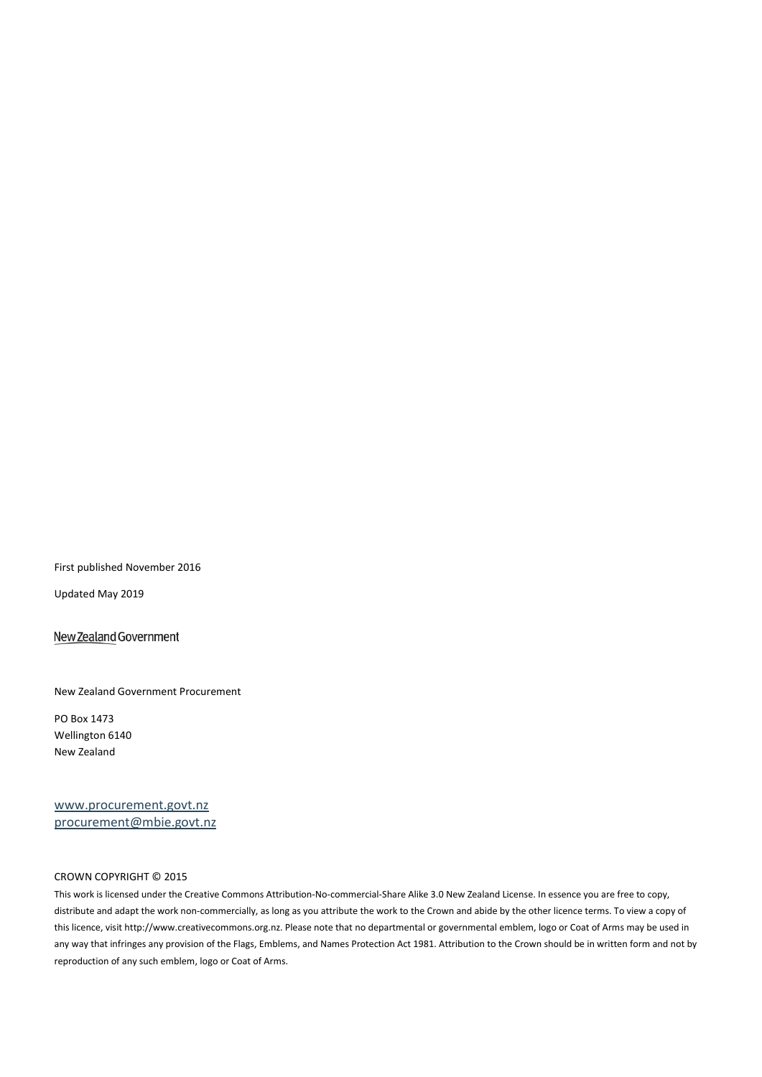First published November 2016

Updated May 2019

New Zealand Government

New Zealand Government Procurement

PO Box 1473 Wellington 6140 New Zealand

[www.procurement.govt.nz](http://www.procurement.govt.nz/) procurement@mbie.govt.nz

#### CROWN COPYRIGHT © 2015

This work is licensed under the Creative Commons Attribution-No-commercial-Share Alike 3.0 New Zealand License. In essence you are free to copy, distribute and adapt the work non-commercially, as long as you attribute the work to the Crown and abide by the other licence terms. To view a copy of this licence, visit http://www.creativecommons.org.nz. Please note that no departmental or governmental emblem, logo or Coat of Arms may be used in any way that infringes any provision of the Flags, Emblems, and Names Protection Act 1981. Attribution to the Crown should be in written form and not by reproduction of any such emblem, logo or Coat of Arms.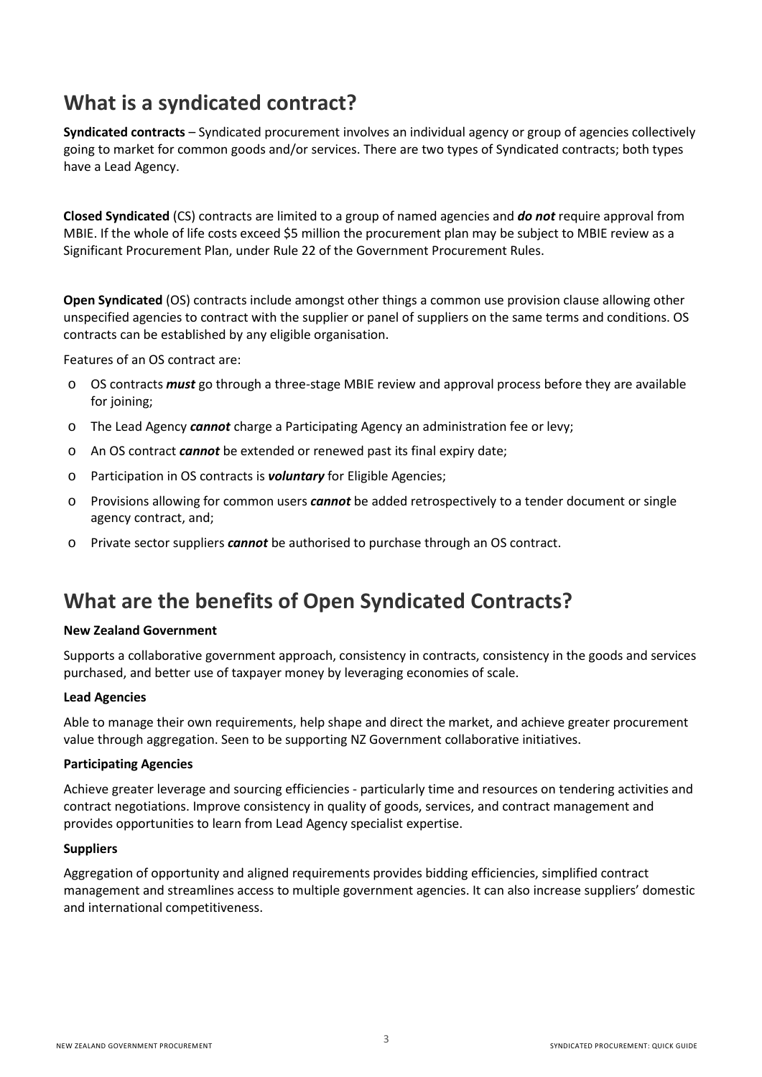# **What is a syndicated contract?**

**Syndicated contracts** – Syndicated procurement involves an individual agency or group of agencies collectively going to market for common goods and/or services. There are two types of Syndicated contracts; both types have a Lead Agency.

**Closed Syndicated** (CS) contracts are limited to a group of named agencies and *do not* require approval from MBIE. If the whole of life costs exceed \$5 million the procurement plan may be subject to MBIE review as a Significant Procurement Plan, under Rule 22 of the Government Procurement Rules.

**Open Syndicated** (OS) contracts include amongst other things a common use provision clause allowing other unspecified agencies to contract with the supplier or panel of suppliers on the same terms and conditions. OS contracts can be established by any eligible organisation.

Features of an OS contract are:

- o OS contracts *must* go through a three-stage MBIE review and approval process before they are available for joining:
- o The Lead Agency *cannot* charge a Participating Agency an administration fee or levy;
- o An OS contract *cannot* be extended or renewed past its final expiry date;
- o Participation in OS contracts is *voluntary* for Eligible Agencies;
- o Provisions allowing for common users *cannot* be added retrospectively to a tender document or single agency contract, and;
- o Private sector suppliers *cannot* be authorised to purchase through an OS contract.

# **What are the benefits of Open Syndicated Contracts?**

#### **New Zealand Government**

Supports a collaborative government approach, consistency in contracts, consistency in the goods and services purchased, and better use of taxpayer money by leveraging economies of scale.

#### **Lead Agencies**

Able to manage their own requirements, help shape and direct the market, and achieve greater procurement value through aggregation. Seen to be supporting NZ Government collaborative initiatives.

#### **Participating Agencies**

Achieve greater leverage and sourcing efficiencies - particularly time and resources on tendering activities and contract negotiations. Improve consistency in quality of goods, services, and contract management and provides opportunities to learn from Lead Agency specialist expertise.

#### **Suppliers**

Aggregation of opportunity and aligned requirements provides bidding efficiencies, simplified contract management and streamlines access to multiple government agencies. It can also increase suppliers' domestic and international competitiveness.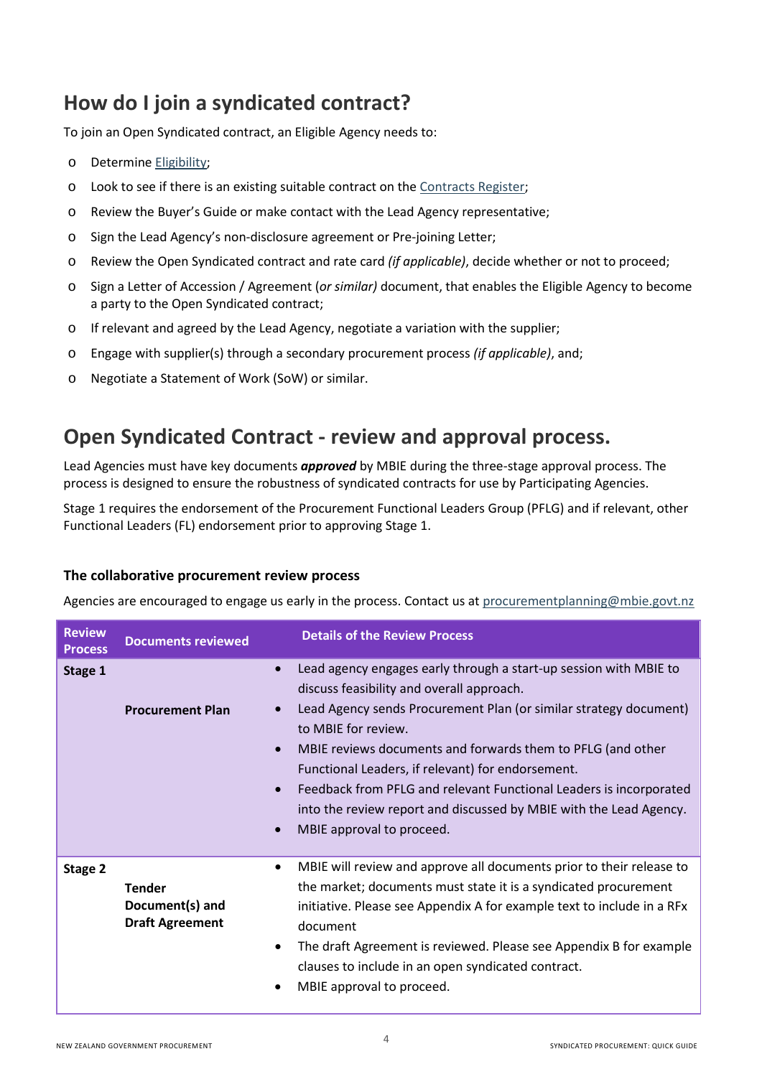# **How do I join a syndicated contract?**

To join an Open Syndicated contract, an Eligible Agency needs to:

- o Determine [Eligibility;](https://www.procurement.govt.nz/contracts/who-can-use-collaborative-contracts/)
- o Look to see if there is an existing suitable contract on the [Contracts Register;](https://www.procurement.govt.nz/contracts/)
- o Review the Buyer's Guide or make contact with the Lead Agency representative;
- o Sign the Lead Agency's non-disclosure agreement or Pre-joining Letter;
- o Review the Open Syndicated contract and rate card *(if applicable)*, decide whether or not to proceed;
- o Sign a Letter of Accession / Agreement (*or similar)* document, that enables the Eligible Agency to become a party to the Open Syndicated contract;
- o If relevant and agreed by the Lead Agency, negotiate a variation with the supplier;
- o Engage with supplier(s) through a secondary procurement process *(if applicable)*, and;
- o Negotiate a Statement of Work (SoW) or similar.

# **Open Syndicated Contract - review and approval process.**

Lead Agencies must have key documents *approved* by MBIE during the three-stage approval process. The process is designed to ensure the robustness of syndicated contracts for use by Participating Agencies.

Stage 1 requires the endorsement of the Procurement Functional Leaders Group (PFLG) and if relevant, other Functional Leaders (FL) endorsement prior to approving Stage 1.

### **The collaborative procurement review process**

Agencies are encouraged to engage us early in the process. Contact us at procurementplanning@mbie.govt.nz

| <b>Review</b><br><b>Process</b> | <b>Documents reviewed</b>                                  | <b>Details of the Review Process</b>                                                                                                                                                                                                                                                                                                                                                                                                                                                                                                                                     |
|---------------------------------|------------------------------------------------------------|--------------------------------------------------------------------------------------------------------------------------------------------------------------------------------------------------------------------------------------------------------------------------------------------------------------------------------------------------------------------------------------------------------------------------------------------------------------------------------------------------------------------------------------------------------------------------|
| Stage 1                         | <b>Procurement Plan</b>                                    | Lead agency engages early through a start-up session with MBIE to<br>$\bullet$<br>discuss feasibility and overall approach.<br>Lead Agency sends Procurement Plan (or similar strategy document)<br>$\bullet$<br>to MBIE for review.<br>MBIE reviews documents and forwards them to PFLG (and other<br>$\bullet$<br>Functional Leaders, if relevant) for endorsement.<br>Feedback from PFLG and relevant Functional Leaders is incorporated<br>$\bullet$<br>into the review report and discussed by MBIE with the Lead Agency.<br>MBIE approval to proceed.<br>$\bullet$ |
| Stage 2                         | <b>Tender</b><br>Document(s) and<br><b>Draft Agreement</b> | MBIE will review and approve all documents prior to their release to<br>$\bullet$<br>the market; documents must state it is a syndicated procurement<br>initiative. Please see Appendix A for example text to include in a RFx<br>document<br>The draft Agreement is reviewed. Please see Appendix B for example<br>٠<br>clauses to include in an open syndicated contract.<br>MBIE approval to proceed.                                                                                                                                                                 |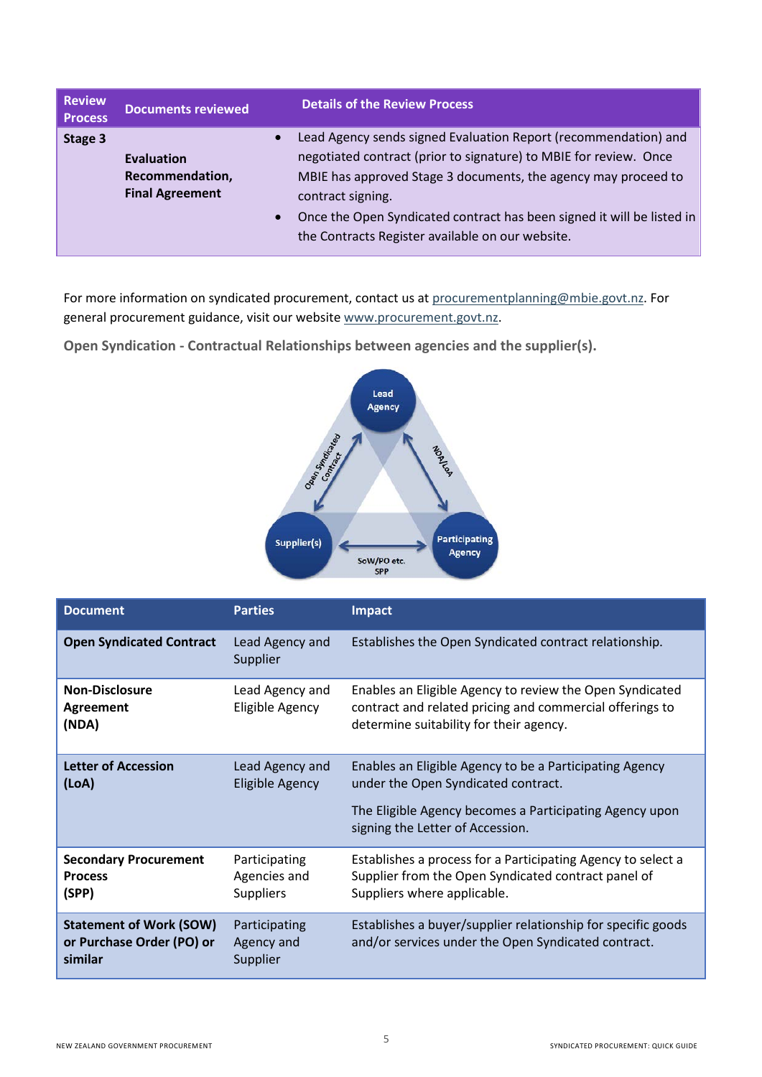| <b>Review</b><br><b>Process</b> | <b>Documents reviewed</b>                                      |                        | <b>Details of the Review Process</b>                                                                                                                                                                                                                                                                                                                      |
|---------------------------------|----------------------------------------------------------------|------------------------|-----------------------------------------------------------------------------------------------------------------------------------------------------------------------------------------------------------------------------------------------------------------------------------------------------------------------------------------------------------|
| Stage 3                         | <b>Evaluation</b><br>Recommendation,<br><b>Final Agreement</b> | $\bullet$<br>$\bullet$ | Lead Agency sends signed Evaluation Report (recommendation) and<br>negotiated contract (prior to signature) to MBIE for review. Once<br>MBIE has approved Stage 3 documents, the agency may proceed to<br>contract signing.<br>Once the Open Syndicated contract has been signed it will be listed in<br>the Contracts Register available on our website. |

For more information on syndicated procurement, contact us at procurementplanning@mbie.govt.nz. For general procurement guidance, visit our website [www.procurement.govt.nz.](http://www.procurement.govt.nz/)

**Open Syndication - Contractual Relationships between agencies and the supplier(s).**



| <b>Document</b>                                                        | <b>Parties</b>                                    | Impact                                                                                                                                                                                        |
|------------------------------------------------------------------------|---------------------------------------------------|-----------------------------------------------------------------------------------------------------------------------------------------------------------------------------------------------|
| <b>Open Syndicated Contract</b>                                        | Lead Agency and<br>Supplier                       | Establishes the Open Syndicated contract relationship.                                                                                                                                        |
| <b>Non-Disclosure</b><br><b>Agreement</b><br>(NDA)                     | Lead Agency and<br>Eligible Agency                | Enables an Eligible Agency to review the Open Syndicated<br>contract and related pricing and commercial offerings to<br>determine suitability for their agency.                               |
| <b>Letter of Accession</b><br>(LOA)                                    | Lead Agency and<br><b>Eligible Agency</b>         | Enables an Eligible Agency to be a Participating Agency<br>under the Open Syndicated contract.<br>The Eligible Agency becomes a Participating Agency upon<br>signing the Letter of Accession. |
| <b>Secondary Procurement</b><br><b>Process</b><br>(SPP)                | Participating<br>Agencies and<br><b>Suppliers</b> | Establishes a process for a Participating Agency to select a<br>Supplier from the Open Syndicated contract panel of<br>Suppliers where applicable.                                            |
| <b>Statement of Work (SOW)</b><br>or Purchase Order (PO) or<br>similar | Participating<br>Agency and<br>Supplier           | Establishes a buyer/supplier relationship for specific goods<br>and/or services under the Open Syndicated contract.                                                                           |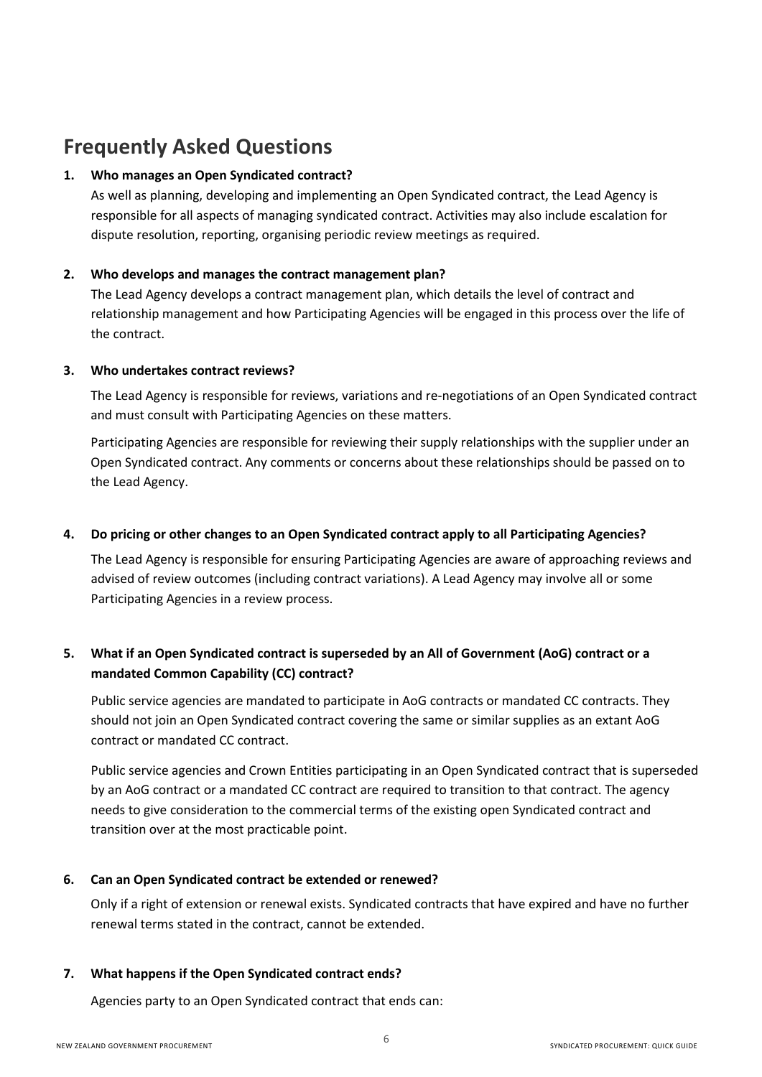# **Frequently Asked Questions**

### **1. Who manages an Open Syndicated contract?**

As well as planning, developing and implementing an Open Syndicated contract, the Lead Agency is responsible for all aspects of managing syndicated contract. Activities may also include escalation for dispute resolution, reporting, organising periodic review meetings as required.

### **2. Who develops and manages the contract management plan?**

The Lead Agency develops a contract management plan, which details the level of contract and relationship management and how Participating Agencies will be engaged in this process over the life of the contract.

### **3. Who undertakes contract reviews?**

The Lead Agency is responsible for reviews, variations and re-negotiations of an Open Syndicated contract and must consult with Participating Agencies on these matters.

Participating Agencies are responsible for reviewing their supply relationships with the supplier under an Open Syndicated contract. Any comments or concerns about these relationships should be passed on to the Lead Agency.

# **4. Do pricing or other changes to an Open Syndicated contract apply to all Participating Agencies?**

The Lead Agency is responsible for ensuring Participating Agencies are aware of approaching reviews and advised of review outcomes (including contract variations). A Lead Agency may involve all or some Participating Agencies in a review process.

# **5. What if an Open Syndicated contract is superseded by an All of Government (AoG) contract or a mandated Common Capability (CC) contract?**

Public service agencies are mandated to participate in AoG contracts or mandated CC contracts. They should not join an Open Syndicated contract covering the same or similar supplies as an extant AoG contract or mandated CC contract.

Public service agencies and Crown Entities participating in an Open Syndicated contract that is superseded by an AoG contract or a mandated CC contract are required to transition to that contract. The agency needs to give consideration to the commercial terms of the existing open Syndicated contract and transition over at the most practicable point.

### **6. Can an Open Syndicated contract be extended or renewed?**

Only if a right of extension or renewal exists. Syndicated contracts that have expired and have no further renewal terms stated in the contract, cannot be extended.

### **7. What happens if the Open Syndicated contract ends?**

Agencies party to an Open Syndicated contract that ends can: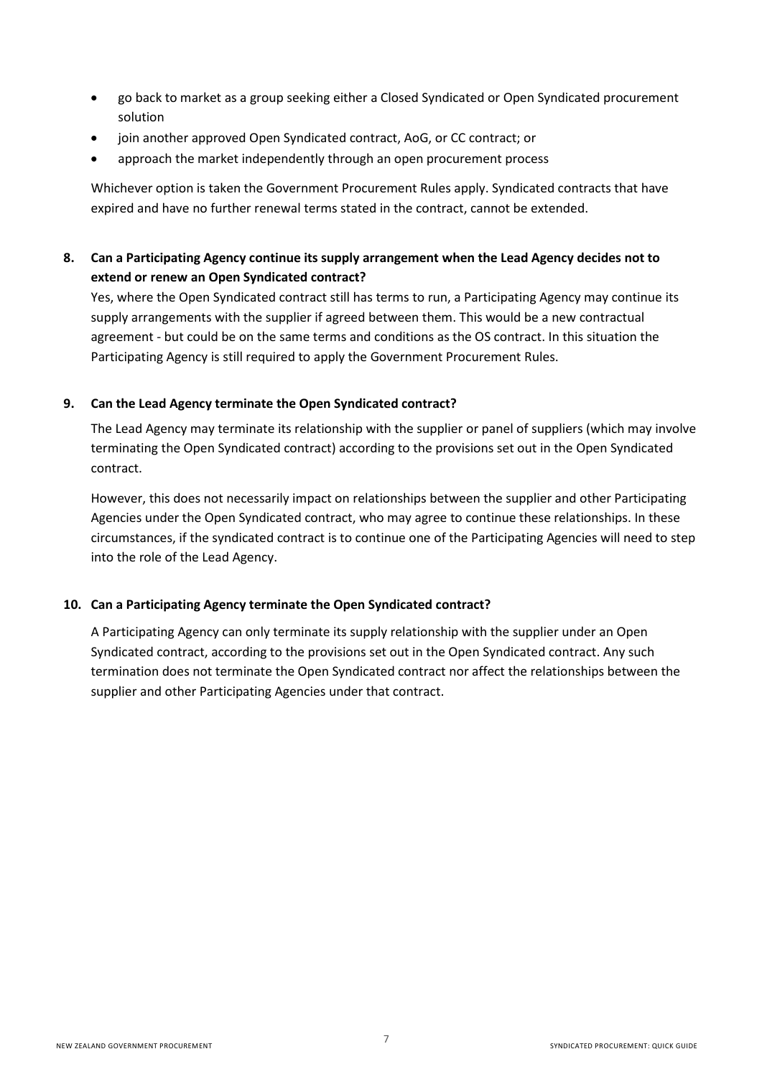- go back to market as a group seeking either a Closed Syndicated or Open Syndicated procurement solution
- join another approved Open Syndicated contract, AoG, or CC contract; or
- approach the market independently through an open procurement process

Whichever option is taken the Government Procurement Rules apply. Syndicated contracts that have expired and have no further renewal terms stated in the contract, cannot be extended.

# **8. Can a Participating Agency continue its supply arrangement when the Lead Agency decides not to extend or renew an Open Syndicated contract?**

Yes, where the Open Syndicated contract still has terms to run, a Participating Agency may continue its supply arrangements with the supplier if agreed between them. This would be a new contractual agreement - but could be on the same terms and conditions as the OS contract. In this situation the Participating Agency is still required to apply the Government Procurement Rules.

#### **9. Can the Lead Agency terminate the Open Syndicated contract?**

The Lead Agency may terminate its relationship with the supplier or panel of suppliers (which may involve terminating the Open Syndicated contract) according to the provisions set out in the Open Syndicated contract.

However, this does not necessarily impact on relationships between the supplier and other Participating Agencies under the Open Syndicated contract, who may agree to continue these relationships. In these circumstances, if the syndicated contract is to continue one of the Participating Agencies will need to step into the role of the Lead Agency.

#### **10. Can a Participating Agency terminate the Open Syndicated contract?**

A Participating Agency can only terminate its supply relationship with the supplier under an Open Syndicated contract, according to the provisions set out in the Open Syndicated contract. Any such termination does not terminate the Open Syndicated contract nor affect the relationships between the supplier and other Participating Agencies under that contract.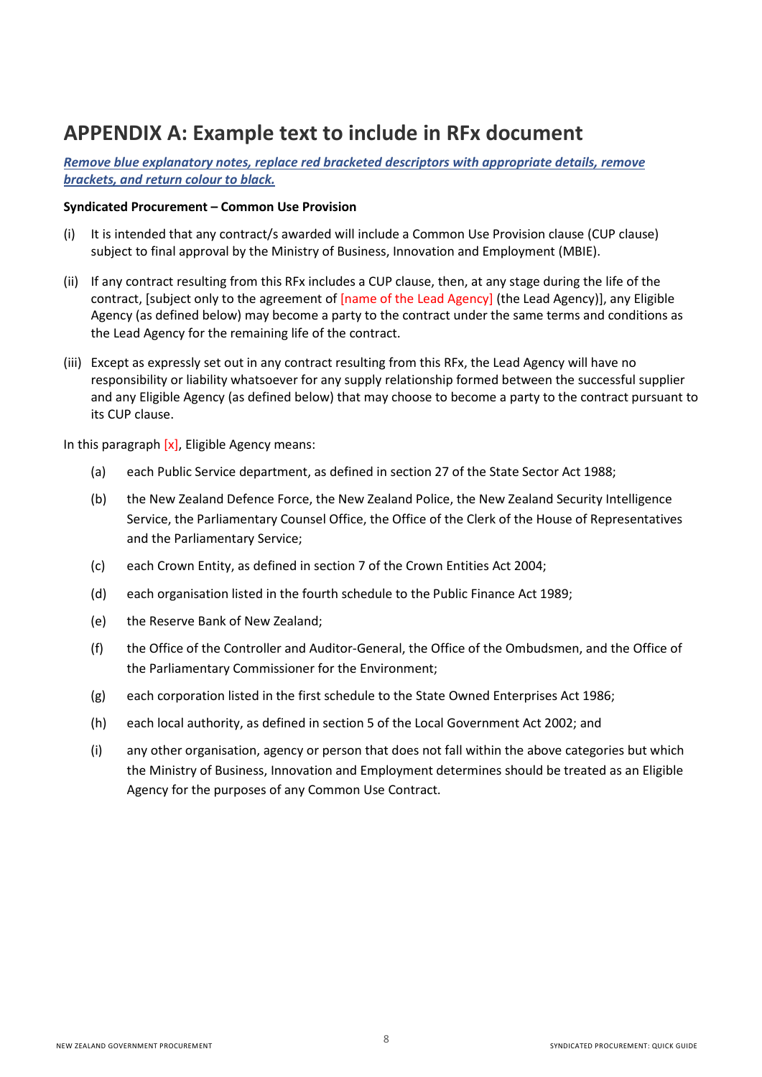# **APPENDIX A: Example text to include in RFx document**

*Remove blue explanatory notes, replace red bracketed descriptors with appropriate details, remove brackets, and return colour to black.*

#### **Syndicated Procurement – Common Use Provision**

- (i) It is intended that any contract/s awarded will include a Common Use Provision clause (CUP clause) subject to final approval by the Ministry of Business, Innovation and Employment (MBIE).
- (ii) If any contract resulting from this RFx includes a CUP clause, then, at any stage during the life of the contract, [subject only to the agreement of [name of the Lead Agency] (the Lead Agency)], any Eligible Agency (as defined below) may become a party to the contract under the same terms and conditions as the Lead Agency for the remaining life of the contract.
- (iii) Except as expressly set out in any contract resulting from this RFx, the Lead Agency will have no responsibility or liability whatsoever for any supply relationship formed between the successful supplier and any Eligible Agency (as defined below) that may choose to become a party to the contract pursuant to its CUP clause.

In this paragraph  $[x]$ , Eligible Agency means:

- (a) each Public Service department, as defined in section 27 of the State Sector Act 1988;
- (b) the New Zealand Defence Force, the New Zealand Police, the New Zealand Security Intelligence Service, the Parliamentary Counsel Office, the Office of the Clerk of the House of Representatives and the Parliamentary Service;
- (c) each Crown Entity, as defined in section 7 of the Crown Entities Act 2004;
- (d) each organisation listed in the fourth schedule to the Public Finance Act 1989;
- (e) the Reserve Bank of New Zealand;
- (f) the Office of the Controller and Auditor-General, the Office of the Ombudsmen, and the Office of the Parliamentary Commissioner for the Environment;
- (g) each corporation listed in the first schedule to the State Owned Enterprises Act 1986;
- (h) each local authority, as defined in section 5 of the Local Government Act 2002; and
- (i) any other organisation, agency or person that does not fall within the above categories but which the Ministry of Business, Innovation and Employment determines should be treated as an Eligible Agency for the purposes of any Common Use Contract.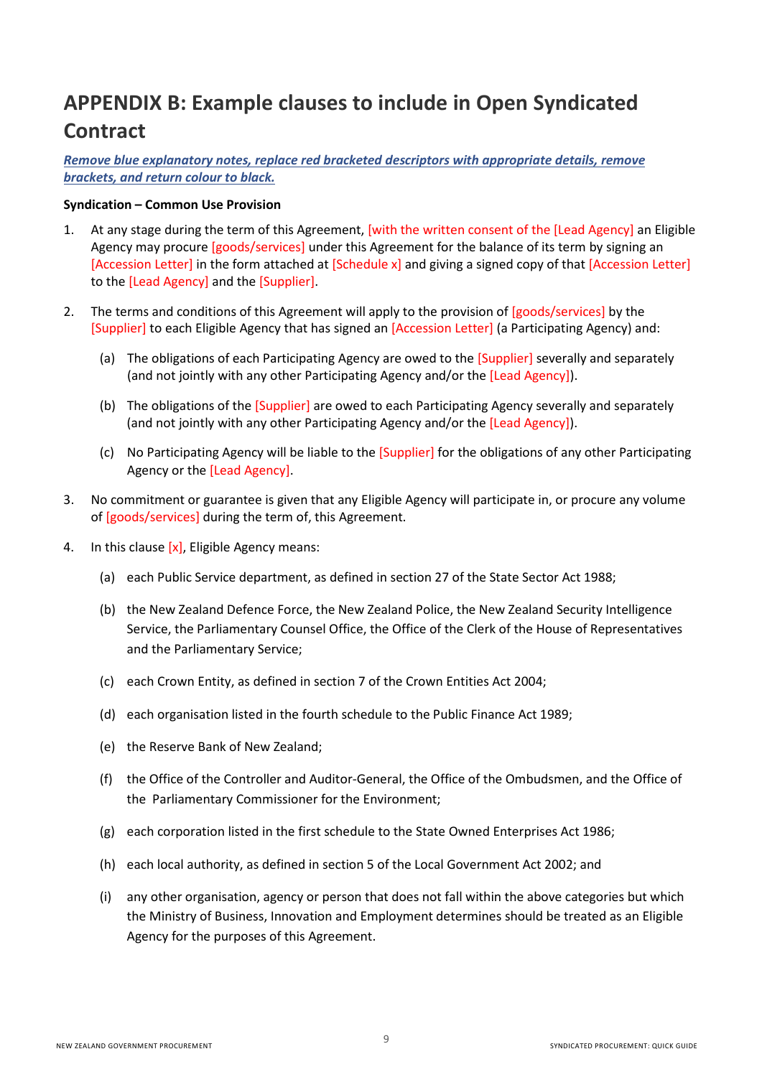# **APPENDIX B: Example clauses to include in Open Syndicated Contract**

*Remove blue explanatory notes, replace red bracketed descriptors with appropriate details, remove brackets, and return colour to black.*

### **Syndication – Common Use Provision**

- 1. At any stage during the term of this Agreement, [with the written consent of the [Lead Agency] an Eligible Agency may procure [goods/services] under this Agreement for the balance of its term by signing an [Accession Letter] in the form attached at [Schedule x] and giving a signed copy of that [Accession Letter] to the [Lead Agency] and the [Supplier].
- 2. The terms and conditions of this Agreement will apply to the provision of [goods/services] by the [Supplier] to each Eligible Agency that has signed an [Accession Letter] (a Participating Agency) and:
	- (a) The obligations of each Participating Agency are owed to the [Supplier] severally and separately (and not jointly with any other Participating Agency and/or the [Lead Agency]).
	- (b) The obligations of the [Supplier] are owed to each Participating Agency severally and separately (and not jointly with any other Participating Agency and/or the [Lead Agency]).
	- (c) No Participating Agency will be liable to the [Supplier] for the obligations of any other Participating Agency or the [Lead Agency].
- 3. No commitment or guarantee is given that any Eligible Agency will participate in, or procure any volume of [goods/services] during the term of, this Agreement.
- 4. In this clause  $[x]$ , Eligible Agency means:
	- (a) each Public Service department, as defined in section 27 of the State Sector Act 1988;
	- (b) the New Zealand Defence Force, the New Zealand Police, the New Zealand Security Intelligence Service, the Parliamentary Counsel Office, the Office of the Clerk of the House of Representatives and the Parliamentary Service;
	- (c) each Crown Entity, as defined in section 7 of the Crown Entities Act 2004;
	- (d) each organisation listed in the fourth schedule to the Public Finance Act 1989;
	- (e) the Reserve Bank of New Zealand;
	- (f) the Office of the Controller and Auditor-General, the Office of the Ombudsmen, and the Office of the Parliamentary Commissioner for the Environment;
	- (g) each corporation listed in the first schedule to the State Owned Enterprises Act 1986;
	- (h) each local authority, as defined in section 5 of the Local Government Act 2002; and
	- (i) any other organisation, agency or person that does not fall within the above categories but which the Ministry of Business, Innovation and Employment determines should be treated as an Eligible Agency for the purposes of this Agreement.